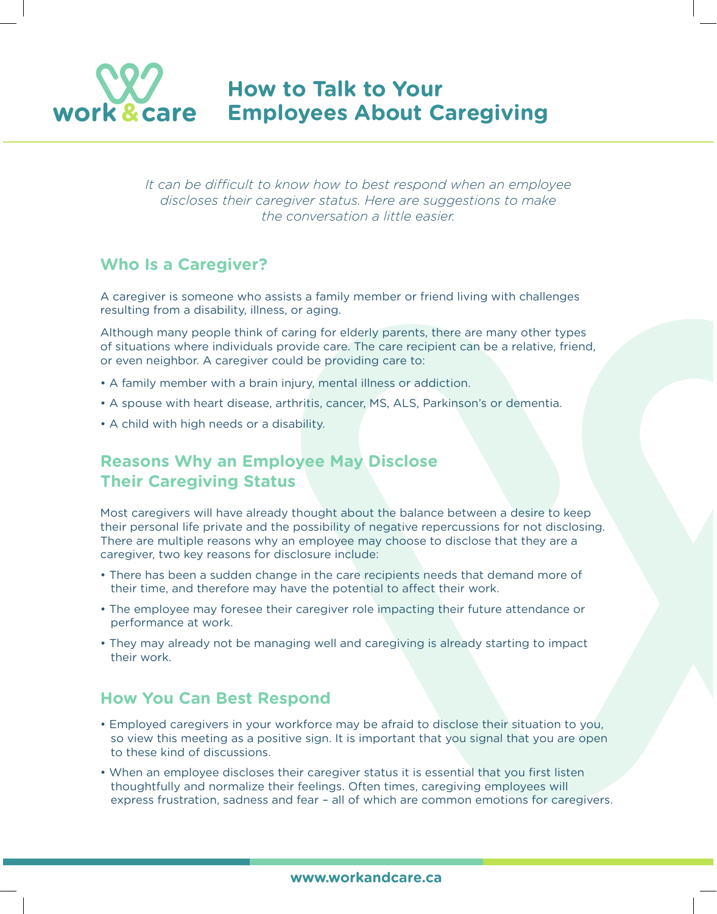

*It can be difficult to know how to best respond when an employee discloses their caregiver status. Here are suggestions to make the conversation a little easier.* 

### **Who Is a Caregiver?**

A caregiver is someone who assists a family member or friend living with challenges resulting from a disability, illness, or aging.

Although many people think of caring for elderly parents, there are many other types of situations where individuals provide care. The care recipient can be a relative, friend, or even neighbor. A caregiver could be providing care to:

- A family member with a brain injury, mental illness or addiction.
- A spouse with heart disease, arthritis, cancer, MS, ALS, Parkinson's or dementia.
- A child with high needs or a disability.

# **Reasons Why an Employee May Disclose Their Caregiving Status**

Most caregivers will have already thought about the balance between a desire to keep their personal life private and the possibility of negative repercussions for not disclosing. There are multiple reasons why an employee may choose to disclose that they are a caregiver, two key reasons for disclosure include:

- There has been a sudden change in the care recipients needs that demand more of their time, and therefore may have the potential to affect their work.
- The employee may foresee their caregiver role impacting their future attendance or performance at work.
- They may already not be managing well and caregiving is already starting to impact their work.

## **How You Can Best Respond**

- Employed caregivers in your workforce may be afraid to disclose their situation to you, so view this meeting as a positive sign. It is important that you signal that you are open to these kind of discussions.
- When an employee discloses their caregiver status it is essential that you first listen thoughtfully and normalize their feelings. Often times, caregiving employees will express frustration, sadness and fear – all of which are common emotions for caregivers.